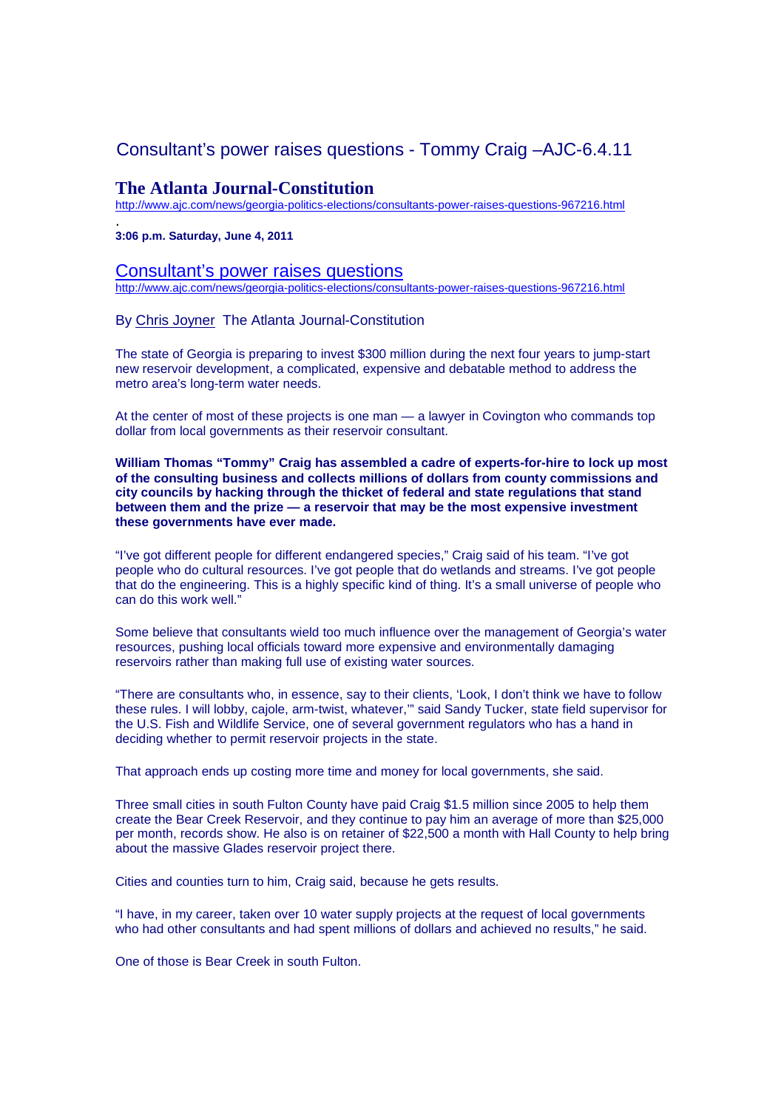# Consultant's power raises questions - Tommy Craig –AJC-6.4.11

## **The Atlanta Journal-Constitution**

http://www.ajc.com/news/georgia-politics-elections/consultants-power-raises-questions-967216.html

. **3:06 p.m. Saturday, June 4, 2011** 

## Consultant's power raises questions

http://www.ajc.com/news/georgia-politics-elections/consultants-power-raises-questions-967216.html

By Chris Joyner The Atlanta Journal-Constitution

The state of Georgia is preparing to invest \$300 million during the next four years to jump-start new reservoir development, a complicated, expensive and debatable method to address the metro area's long-term water needs.

At the center of most of these projects is one man — a lawyer in Covington who commands top dollar from local governments as their reservoir consultant.

**William Thomas "Tommy" Craig has assembled a cadre of experts-for-hire to lock up most of the consulting business and collects millions of dollars from county commissions and city councils by hacking through the thicket of federal and state regulations that stand between them and the prize — a reservoir that may be the most expensive investment these governments have ever made.** 

"I've got different people for different endangered species," Craig said of his team. "I've got people who do cultural resources. I've got people that do wetlands and streams. I've got people that do the engineering. This is a highly specific kind of thing. It's a small universe of people who can do this work well."

Some believe that consultants wield too much influence over the management of Georgia's water resources, pushing local officials toward more expensive and environmentally damaging reservoirs rather than making full use of existing water sources.

"There are consultants who, in essence, say to their clients, 'Look, I don't think we have to follow these rules. I will lobby, cajole, arm-twist, whatever,'" said Sandy Tucker, state field supervisor for the U.S. Fish and Wildlife Service, one of several government regulators who has a hand in deciding whether to permit reservoir projects in the state.

That approach ends up costing more time and money for local governments, she said.

Three small cities in south Fulton County have paid Craig \$1.5 million since 2005 to help them create the Bear Creek Reservoir, and they continue to pay him an average of more than \$25,000 per month, records show. He also is on retainer of \$22,500 a month with Hall County to help bring about the massive Glades reservoir project there.

Cities and counties turn to him, Craig said, because he gets results.

"I have, in my career, taken over 10 water supply projects at the request of local governments who had other consultants and had spent millions of dollars and achieved no results," he said.

One of those is Bear Creek in south Fulton.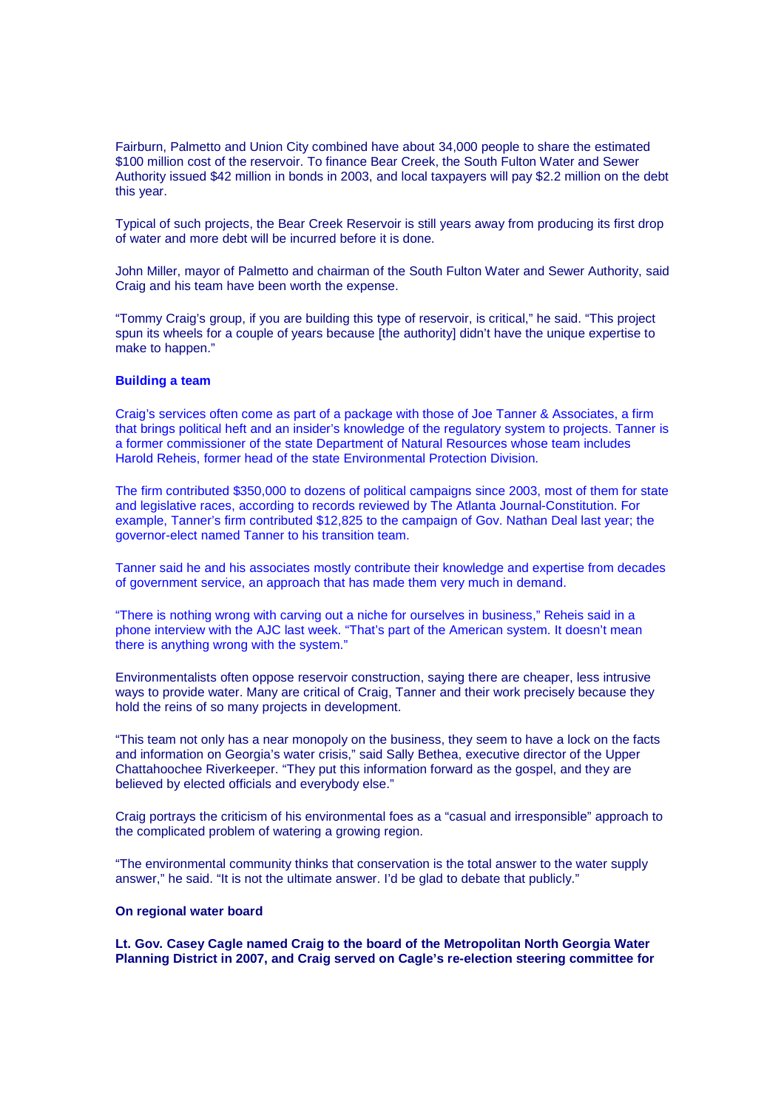Fairburn, Palmetto and Union City combined have about 34,000 people to share the estimated \$100 million cost of the reservoir. To finance Bear Creek, the South Fulton Water and Sewer Authority issued \$42 million in bonds in 2003, and local taxpayers will pay \$2.2 million on the debt this year.

Typical of such projects, the Bear Creek Reservoir is still years away from producing its first drop of water and more debt will be incurred before it is done.

John Miller, mayor of Palmetto and chairman of the South Fulton Water and Sewer Authority, said Craig and his team have been worth the expense.

"Tommy Craig's group, if you are building this type of reservoir, is critical," he said. "This project spun its wheels for a couple of years because [the authority] didn't have the unique expertise to make to happen."

#### **Building a team**

Craig's services often come as part of a package with those of Joe Tanner & Associates, a firm that brings political heft and an insider's knowledge of the regulatory system to projects. Tanner is a former commissioner of the state Department of Natural Resources whose team includes Harold Reheis, former head of the state Environmental Protection Division.

The firm contributed \$350,000 to dozens of political campaigns since 2003, most of them for state and legislative races, according to records reviewed by The Atlanta Journal-Constitution. For example, Tanner's firm contributed \$12,825 to the campaign of Gov. Nathan Deal last year; the governor-elect named Tanner to his transition team.

Tanner said he and his associates mostly contribute their knowledge and expertise from decades of government service, an approach that has made them very much in demand.

"There is nothing wrong with carving out a niche for ourselves in business," Reheis said in a phone interview with the AJC last week. "That's part of the American system. It doesn't mean there is anything wrong with the system."

Environmentalists often oppose reservoir construction, saying there are cheaper, less intrusive ways to provide water. Many are critical of Craig, Tanner and their work precisely because they hold the reins of so many projects in development.

"This team not only has a near monopoly on the business, they seem to have a lock on the facts and information on Georgia's water crisis," said Sally Bethea, executive director of the Upper Chattahoochee Riverkeeper. "They put this information forward as the gospel, and they are believed by elected officials and everybody else."

Craig portrays the criticism of his environmental foes as a "casual and irresponsible" approach to the complicated problem of watering a growing region.

"The environmental community thinks that conservation is the total answer to the water supply answer," he said. "It is not the ultimate answer. I'd be glad to debate that publicly."

#### **On regional water board**

**Lt. Gov. Casey Cagle named Craig to the board of the Metropolitan North Georgia Water Planning District in 2007, and Craig served on Cagle's re-election steering committee for**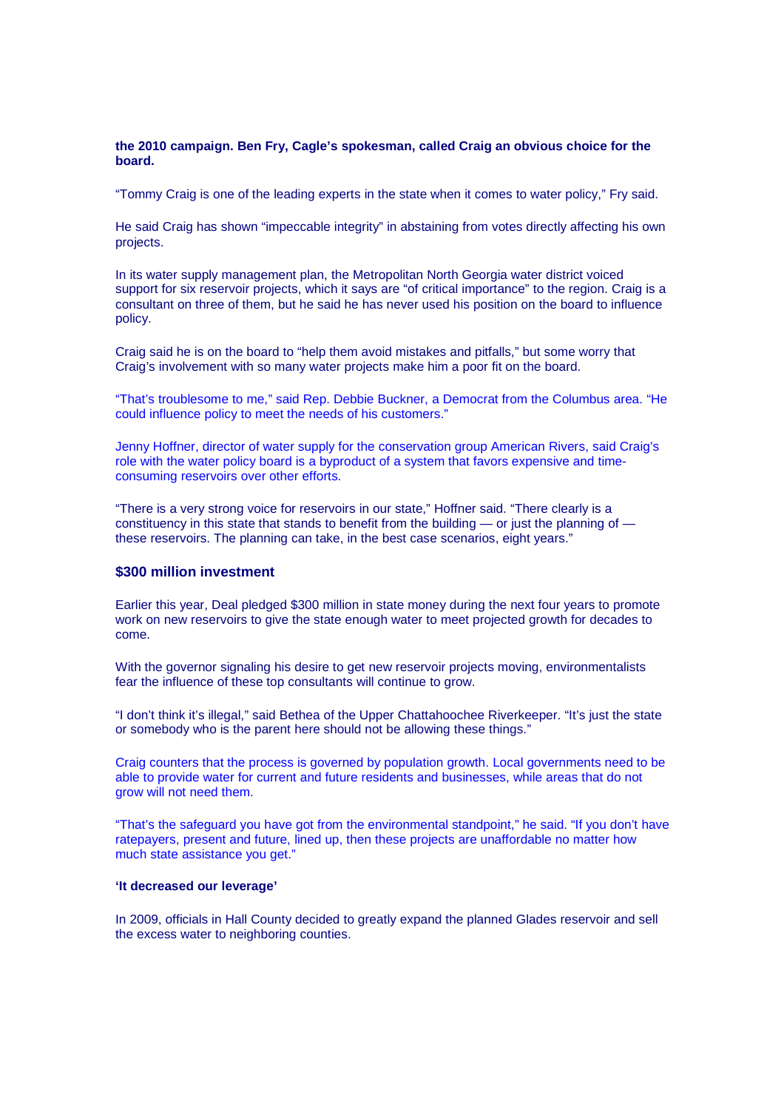#### **the 2010 campaign. Ben Fry, Cagle's spokesman, called Craig an obvious choice for the board.**

"Tommy Craig is one of the leading experts in the state when it comes to water policy," Fry said.

He said Craig has shown "impeccable integrity" in abstaining from votes directly affecting his own projects.

In its water supply management plan, the Metropolitan North Georgia water district voiced support for six reservoir projects, which it says are "of critical importance" to the region. Craig is a consultant on three of them, but he said he has never used his position on the board to influence policy.

Craig said he is on the board to "help them avoid mistakes and pitfalls," but some worry that Craig's involvement with so many water projects make him a poor fit on the board.

"That's troublesome to me," said Rep. Debbie Buckner, a Democrat from the Columbus area. "He could influence policy to meet the needs of his customers."

Jenny Hoffner, director of water supply for the conservation group American Rivers, said Craig's role with the water policy board is a byproduct of a system that favors expensive and timeconsuming reservoirs over other efforts.

"There is a very strong voice for reservoirs in our state," Hoffner said. "There clearly is a constituency in this state that stands to benefit from the building — or just the planning of these reservoirs. The planning can take, in the best case scenarios, eight years."

## **\$300 million investment**

Earlier this year, Deal pledged \$300 million in state money during the next four years to promote work on new reservoirs to give the state enough water to meet projected growth for decades to come.

With the governor signaling his desire to get new reservoir projects moving, environmentalists fear the influence of these top consultants will continue to grow.

"I don't think it's illegal," said Bethea of the Upper Chattahoochee Riverkeeper. "It's just the state or somebody who is the parent here should not be allowing these things."

Craig counters that the process is governed by population growth. Local governments need to be able to provide water for current and future residents and businesses, while areas that do not grow will not need them.

"That's the safeguard you have got from the environmental standpoint," he said. "If you don't have ratepayers, present and future, lined up, then these projects are unaffordable no matter how much state assistance you get."

## **'It decreased our leverage'**

In 2009, officials in Hall County decided to greatly expand the planned Glades reservoir and sell the excess water to neighboring counties.